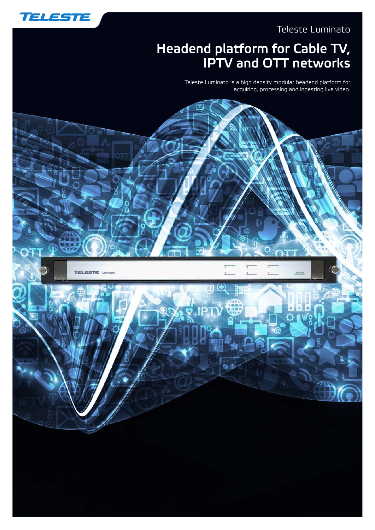

### Teleste Luminato

# Headend platform for Cable TV, IPTV and OTT networks

Teleste Luminato is a high density modular headend platform for acquiring, processing and ingesting live video.

 $\cap$  T

 $\hat{\mathbf{s}}$ 

母事

STATUS

**TELESTE Luminato** 

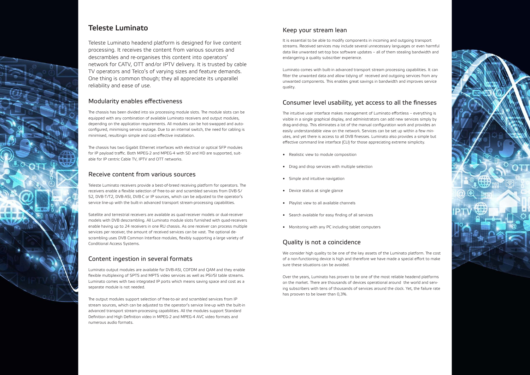

## Teleste Luminato

Teleste Luminato headend platform is designed for live content processing. It receives the content from various sources and descrambles and re-organises this content into operators' network for CATV, OTT and/or IPTV delivery. It is trusted by cable TV operators and Telco's of varying sizes and feature demands. One thing is common though; they all appreciate its unparallel reliability and ease of use.

### Modularity enables effectiveness

The chassis has been divided into six processing module slots. The module slots can be equipped with any combination of available Luminato receivers and output modules, depending on the application requirements. All modules can be hot-swapped and autoconfigured, minimising service outage. Due to an internal switch, the need for cabling is minimised, resultingin simple and cost-effective installation.

The chassis has two Gigabit Ethernet interfaces with electrical or optical SFP modules for IP payload traffic. Both MPEG-2 and MPEG-4 with SD and HD are supported, suitable for IP centric Cable TV, IPTV and OTT networks.

## Receive content from various sources

Teleste Luminato receivers provide a best-of-breed receiving platform for operators. The receivers enable a flexible selection of free-to-air and scrambled services from DVB-S/ S2, DVB-T/T2, DVB-ASI, DVB-C or IP sources, which can be adjusted to the operator's service line-up with the built-in advanced transport stream-processing capabilities.

Satellite and terrestrial receivers are available as quad-receiver models or dual-receiver models with DVB descrambling. All Luminato module slots furnished with quad-receivers enable having up to 24 receivers in one RU chassis. As one receiver can process multiple services per receiver, the amount of received services can be vast. The optional descrambling uses DVB Common Interface modules, flexibly supporting a large variety of Conditional Access Systems.

## Content ingestion in several formats

Luminato output modules are available for DVB-ASI, COFDM and QAM and they enable flexible multiplexing of SPTS and MPTS video services as well as PSI/SI table streams. Luminato comes with two integrated IP ports which means saving space and cost as a separate module is not needed.

The output modules support selection of free-to-air and scrambled services from IP stream sources, which can be adjusted to the operator's service line-up with the built-in advanced transport stream-processing capabilities. All the modules support Standard Definition and High Definition video in MPEG-2 and MPEG-4 AVC video formats and numerous audio formats.

### Keep your stream lean

It is essential to be able to modify components in incoming and outgoing transport streams. Received services may include several unnecessary languages or even harmful data like unwanted set-top box software updates – all of them stealing bandwidth and endangering a quality subscriber experience.

Luminato comes with built-in advanced transport stream processing capabilities. It can filter the unwanted data and allow tidying of received and outgoing services from any unwanted components. This enables great savings in bandwidth and improves service quality.

## Consumer level usability, yet access to all the finesses

The intuitive user interface makes management of Luminato effortless – everything is visible in a single graphical display, and administrators can add new services simply by drag-and-drop. This eliminates a lot of the manual configuration work and provides an easily understandable view on the network. Services can be set up within a few minutes, and yet there is access to all DVB finesses. Luminato also provides a simple but effective command line interface (CLI) for those appreciating extreme simplicity.

- • Realistic view to module composition
- Drag and drop services with multiple selection
- Simple and intuitive navigation
- • Device status at single glance
- • Playlist view to all available channels
- • Search available for easy finding of all services
- • Monitoring with any PC including tablet computers

## Quality is not a coincidence

We consider high quality to be one of the key assets of the Luminato platform. The cost of a non-functioning device is high and therefore we have made a special effort to make sure these situations can be avoided.

Over the years, Luminato has proven to be one of the most reliable headend platforms on the market. There are thousands of devices operational around the world and serving subscribers with tens of thousands of services around the clock. Yet, the failure rate has prooven to be lower than 0,3%.

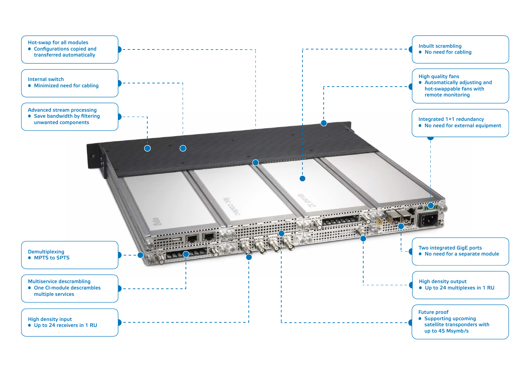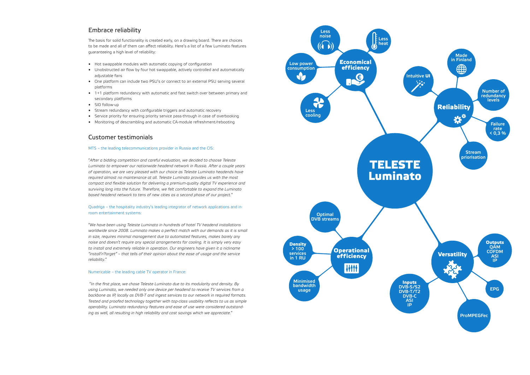### Embrace reliability

The basis for solid functionality is created early, on a drawing board. There are choices to be made and all of them can affect reliability. Here's a list of a few Luminato features guaranteeing a high level of reliability:

- Hot swappable modules with automatic copying of configuration
- Unobstructed air flow by four hot swappable, actively controlled and automatically adjustable fans
- One platform can include two PSU's or connect to an external PSU serving several platforms
- • 1+1 platform redundancy with automatic and fast switch over between primary and secondary platforms
- SID follow-up
- Stream redundancy with configurable triggers and automatic recovery
- Service priority for ensuring priority service pass-through in case of overbooking
- Monitoring of descrambling and automatic CA-module refreshment/rebooting

### Customer testimonials

#### MTS – the leading telecommunications provider in Russia and the CIS:

"*After a bidding competition and careful evaluation, we decided to choose Teleste Luminato to empower our nationwide headend network in Russia. After a couple years of operation, we are very pleased with our choice as Teleste Luminato headends have required almost no maintenance at all. Teleste Luminato provides us with the most compact and flexible solution for delivering a premium-quality digital TV experience and surviving long into the future. Therefore, we felt comfortable to expand the Luminato based headend network to tens of new cities as a second phase of our project.*"

#### Quadriga – the hospitality industry's leading integrator of network applications and inroom entertainment systems:

"*We have been using Teleste Luminato in hundreds of hotel TV headend installations worldwide since 2008. Luminato makes a perfect match with our demands as it is small in size, requires minimal management due to automated features, makes barely any noise and doesn't require any special arrangements for cooling. It is simply very easy to install and extremely reliable in operation. Our engineers have given it a nickname "install'n'forget" – that tells of their opinion about the ease of usage and the service reliability*."

#### Numericable – the leading cable TV operator in France:

 "*In the first place, we chose Teleste Luminato due to its modularity and density. By using Luminato, we needed only one device per headend to receive TV services from a backbone as IP, locally as DVB-T and ingest services to our network in required formats. Tested and proofed technology together with top-class usability reflects to us as simple operability. Luminato redundancy features and ease of use were considered outstanding as well, all resulting in high reliability and cost savings which we appreciate.*"

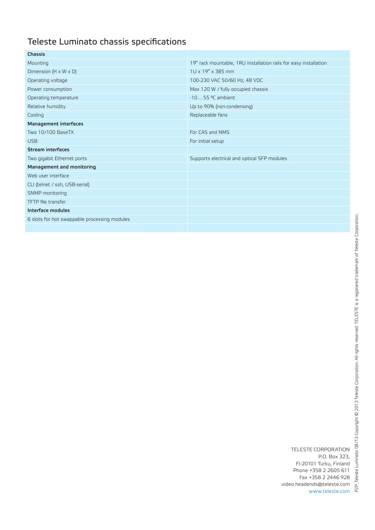## Teleste Luminato chassis specifications

| <b>Chassis</b>                               |                                                                  |  |  |
|----------------------------------------------|------------------------------------------------------------------|--|--|
| Mounting                                     | 19" rack mountable, 1RU Installation rails for easy installation |  |  |
| Dimension $(H \times W \times D)$            | $1U \times 19'' \times 385$ mm                                   |  |  |
| Operating voltage                            | 100-230 VAC 50/60 Hz, 48 VDC                                     |  |  |
| Power consumption                            | Max 120 W / fully occupied chassis                               |  |  |
| Operating temperature                        | $-1055$ °C ambient                                               |  |  |
| Relative humidity                            | Up to 90% (non-condensing)                                       |  |  |
| Cooling                                      | Replaceable fans                                                 |  |  |
| <b>Management interfaces</b>                 |                                                                  |  |  |
| Two 10/100 BaseTX                            | For CAS and NMS                                                  |  |  |
| <b>USB</b>                                   | For initial setup                                                |  |  |
| <b>Stream interfaces</b>                     |                                                                  |  |  |
| Two gigabit Ethernet ports                   | Supports electrical and optical SFP modules                      |  |  |
| Management and monitoring                    |                                                                  |  |  |
| Web user interface                           |                                                                  |  |  |
| CLI (telnet / ssh, USB-serial)               |                                                                  |  |  |
| SNMP monitoring                              |                                                                  |  |  |
| TFTP file transfer                           |                                                                  |  |  |
| Interface modules                            |                                                                  |  |  |
| 6 slots for hot swappable processing modules |                                                                  |  |  |
|                                              |                                                                  |  |  |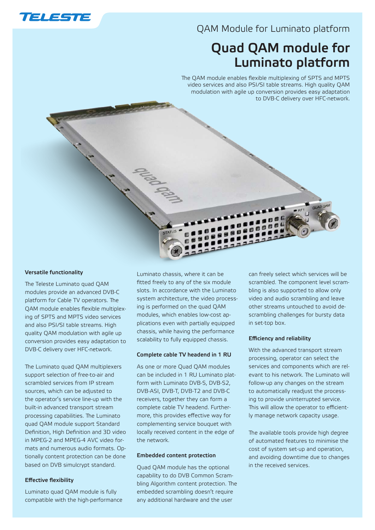

### QAM Module for Luminato platform

# Quad QAM module for Luminato platform

The QAM module enables flexible multiplexing of SPTS and MPTS video services and also PSI/SI table streams. High quality QAM modulation with agile up conversion provides easy adaptation to DVB-C delivery over HFC-network.

#### Versatile functionality

The Teleste Luminato quad QAM modules provide an advanced DVB-C platform for Cable TV operators. The QAM module enables flexible multiplexing of SPTS and MPTS video services and also PSI/SI table streams. High quality QAM modulation with agile up conversion provides easy adaptation to DVB-C delivery over HFC-network.

The Luminato quad QAM multiplexers support selection of free-to-air and scrambled services from IP stream sources, which can be adjusted to the operator's service line-up with the built-in advanced transport stream processing capabilities. The Luminato quad QAM module support Standard Definition, High Definition and 3D video in MPEG-2 and MPEG-4 AVC video formats and numerous audio formats. Optionally content protection can be done based on DVB simulcrypt standard.

#### Effective flexibility

Luminato quad QAM module is fully compatible with the high-performance

Luminato chassis, where it can be fitted freely to any of the six module slots. In accordance with the Luminato system architecture, the video processing is performed on the quad QAM modules, which enables low-cost applications even with partially equipped chassis, while having the performance scalability to fully equipped chassis.

#### Complete cable TV headend in 1 RU

As one or more Quad QAM modules can be included in 1 RU Luminato platform with Luminato DVB-S, DVB-S2, DVB-ASI, DVB-T, DVB-T2 and DVB-C receivers, together they can form a complete cable TV headend. Furthermore, this provides effective way for complementing service bouquet with locally received content in the edge of the network.

#### Embedded content protection

Quad QAM module has the optional capability to do DVB Common Scrambling Algorithm content protection. The embedded scrambling doesn't require any additional hardware and the user

can freely select which services will be scrambled. The component level scrambling is also supported to allow only video and audio scrambling and leave other streams untouched to avoid descrambling challenges for bursty data in set-top box.

#### Efficiency and reliability

With the advanced transport stream processing, operator can select the services and components which are relevant to his network. The Luminato will follow-up any changes on the stream to automatically readjust the processing to provide uninterrupted service. This will allow the operator to efficiently manage network capacity usage.

The available tools provide high degree of automated features to minimise the cost of system set-up and operation, and avoiding downtime due to changes in the received services.